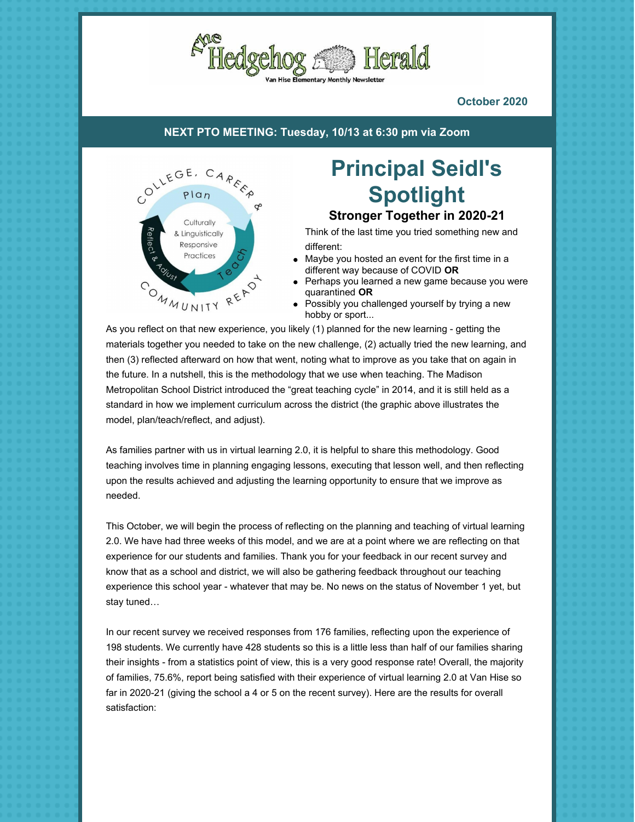

**October 2020**

**NEXT PTO MEETING: Tuesday, 10/13 at 6:30 pm via [Zoom](https://zoom.us/j/99185982164#success)**



# **Principal Seidl's Spotlight**

**Stronger Together in 2020-21**

Think of the last time you tried something new and different:

- Maybe you hosted an event for the first time in a different way because of COVID **OR**
- Perhaps you learned a new game because you were quarantined **OR**
- Possibly you challenged yourself by trying a new hobby or sport...

As you reflect on that new experience, you likely (1) planned for the new learning - getting the materials together you needed to take on the new challenge, (2) actually tried the new learning, and then (3) reflected afterward on how that went, noting what to improve as you take that on again in the future. In a nutshell, this is the methodology that we use when teaching. The Madison Metropolitan School District introduced the "great teaching cycle" in 2014, and it is still held as a standard in how we implement curriculum across the district (the graphic above illustrates the model, plan/teach/reflect, and adjust).

As families partner with us in virtual learning 2.0, it is helpful to share this methodology. Good teaching involves time in planning engaging lessons, executing that lesson well, and then reflecting upon the results achieved and adjusting the learning opportunity to ensure that we improve as needed.

This October, we will begin the process of reflecting on the planning and teaching of virtual learning 2.0. We have had three weeks of this model, and we are at a point where we are reflecting on that experience for our students and families. Thank you for your feedback in our recent survey and know that as a school and district, we will also be gathering feedback throughout our teaching experience this school year - whatever that may be. No news on the status of November 1 yet, but stay tuned…

In our recent survey we received responses from 176 families, reflecting upon the experience of 198 students. We currently have 428 students so this is a little less than half of our families sharing their insights - from a statistics point of view, this is a very good response rate! Overall, the majority of families, 75.6%, report being satisfied with their experience of virtual learning 2.0 at Van Hise so far in 2020-21 (giving the school a 4 or 5 on the recent survey). Here are the results for overall satisfaction: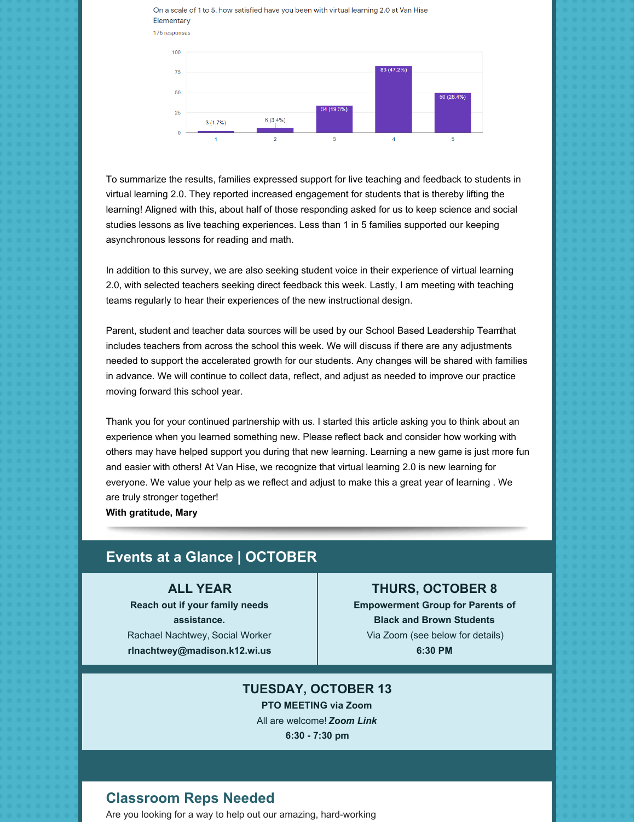



To summarize the results, families expressed support for live teaching and feedback to students in virtual learning 2.0. They reported increased engagement for students that is thereby lifting the learning! Aligned with this, about half of those responding asked for us to keep science and social studies lessons as live teaching experiences. Less than 1 in 5 families supported our keeping asynchronous lessons for reading and math.

In addition to this survey, we are also seeking student voice in their experience of virtual learning 2.0, with selected teachers seeking direct feedback this week. Lastly, I am meeting with teaching teams regularly to hear their experiences of the new instructional design.

Parent, student and teacher data sources will be used by our School Based Leadership Teamthat includes teachers from across the school this week. We will discuss if there are any adjustments needed to support the accelerated growth for our students. Any changes will be shared with families in advance. We will continue to collect data, reflect, and adjust as needed to improve our practice moving forward this school year.

Thank you for your continued partnership with us. I started this article asking you to think about an experience when you learned something new. Please reflect back and consider how working with others may have helped support you during that new learning. Learning a new game is just more fun and easier with others! At Van Hise, we recognize that virtual learning 2.0 is new learning for everyone. We value your help as we reflect and adjust to make this a great year of learning . We are truly stronger together!

**With gratitude, Mary**

#### **Events at a Glance | OCTOBER**

#### **ALL YEAR**

**Reach out if your family needs assistance.** Rachael Nachtwey, Social Worker **[rlnachtwey@madison.k12.wi.us](mailto:rlnachtwey@madison.k12.wi.us)**

#### **THURS, OCTOBER 8**

**Empowerment Group for Parents of Black and Brown Students** Via Zoom (see below for details) **6:30 PM**

#### **TUESDAY, OCTOBER 13**

**PTO MEETING via Zoom** All are welcome! *[Zoom](https://us02web.zoom.us/j/86956046342?pwd=ZEc2L08vcG9QeWFDdHZLeTBwU0Nzdz09) Link* **6:30 - 7:30 pm**

#### **Classroom Reps Needed**

Are you looking for a way to help out our amazing, hard-working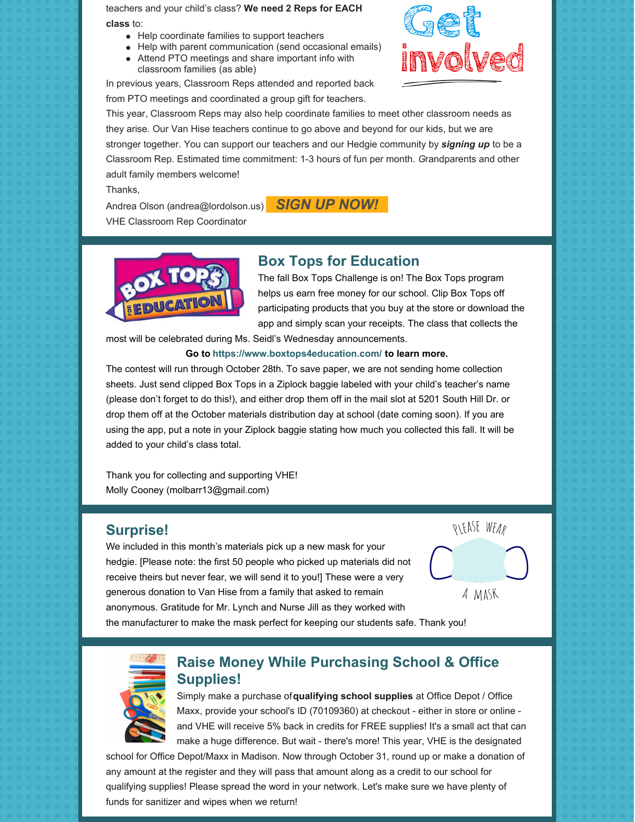teachers and your child's class? **We need 2 Reps for EACH class** to:

- Help coordinate families to support teachers
- Help with parent communication (send occasional emails)
- Attend PTO meetings and share important info with classroom families (as able)

In previous years, Classroom Reps attended and reported back from PTO meetings and coordinated a group gift for teachers.



This year, Classroom Reps may also help coordinate families to meet other classroom needs as they arise. Our Van Hise teachers continue to go above and beyond for our kids, but we are stronger together. You can support our teachers and our Hedgie community by *[signing](https://www.signupgenius.com/go/10C0C45AFAB238-classroom) up* to be a Classroom Rep. Estimated time commitment: 1-3 hours of fun per month. *G*randparents and other adult family members welcome!

Thanks,

Andrea Olson (andrea@lordolson.us) **[S](https://www.signupgenius.com/go/10C0C45AFAB238-classroom)IGN UP NOW!** 

VHE Classroom Rep Coordinator

# **Box Tops for Education**



The fall Box Tops Challenge is on! The Box Tops program helps us earn free money for our school. Clip Box Tops off participating products that you buy at the store or download the app and simply scan your receipts. The class that collects the

most will be celebrated during Ms. Seidl's Wednesday announcements.

#### **Go to https://www.boxtops4education.com/ to learn more.**

The contest will run through October 28th. To save paper, we are not sending home collection sheets. Just send clipped Box Tops in a Ziplock baggie labeled with your child's teacher's name (please don't forget to do this!), and either drop them off in the mail slot at 5201 South Hill Dr. or drop them off at the October materials distribution day at school (date coming soon). If you are using the app, put a note in your Ziplock baggie stating how much you collected this fall. It will be added to your child's class total.

Thank you for collecting and supporting VHE! Molly Cooney (molbarr13@gmail.com)

#### **Surprise!**

We included in this month's materials pick up a new mask for your hedgie. [Please note: the first 50 people who picked up materials did not receive theirs but never fear, we will send it to you!] These were a very generous donation to Van Hise from a family that asked to remain anonymous. Gratitude for Mr. Lynch and Nurse Jill as they worked with the manufacturer to make the mask perfect for keeping our students safe. Thank you!



## **Raise Money While Purchasing School & Office Supplies!**

Simply make a purchase of**[qualifying](https://www.officedepot.com/fm/files/od/promo/2018/week_1/gtbs/0118_qualifyingproducts.pdf?cm_sp=school_supplies-_-givebacktoschools_qualifyingschoolsupplies_-_-&promo_name=school_supplies&promo_id=school_supplies-givebacktoschools-qualifyingschoolsupplies&promo_creative=givebacktoschools_qualifyingschoolsupplies) school supplies** at Office Depot / Office Maxx, provide your school's ID (70109360) at checkout - either in store or online and VHE will receive 5% back in credits for FREE supplies! It's a small act that can make a huge difference. But wait - there's more! This year, VHE is the designated

school for Office Depot/Maxx in Madison. Now through October 31, round up or make a donation of any amount at the register and they will pass that amount along as a credit to our school for qualifying supplies! Please spread the word in your network. Let's make sure we have plenty of funds for sanitizer and wipes when we return!